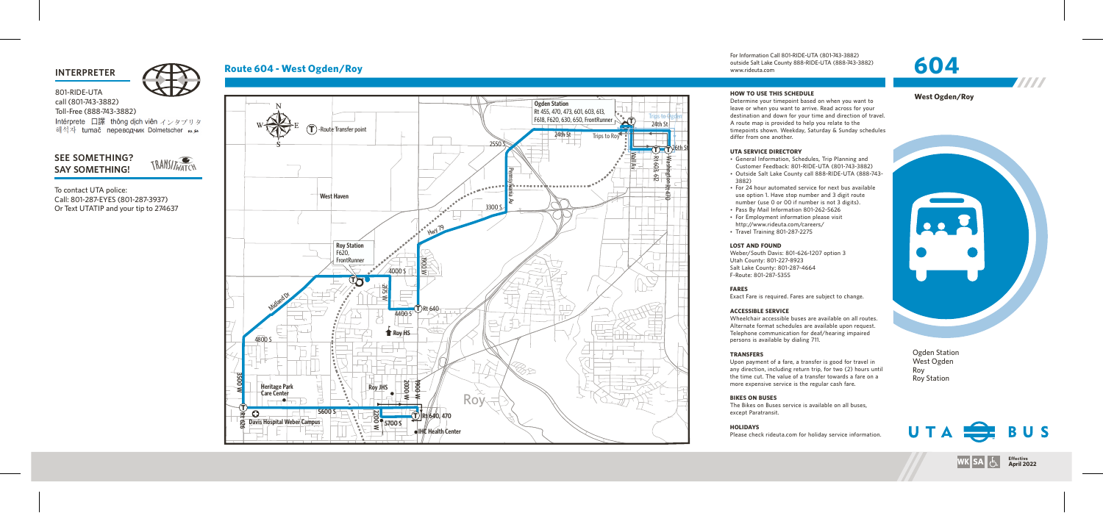## **INTERPRETER**



# Route 604 - West Ogden/Roy



For Information Call 801-RIDE-UTA (801-743-3882) outside Salt Lake County 888-RIDE-UTA (888-743-3882)

• General Information, Schedules, Trip Planning and Customer Feedback: 801-RIDE-UTA (801-743-3882) • Outside Salt Lake County call 888-RIDE-UTA (888-743-

• For 24 hour automated service for next bus available use option 1. Have stop number and 3 digit route number (use 0 or 00 if number is not 3 digits). • Pass By Mail Information 801-262-5626 • For Employment information please visit http://www.rideuta.com/careers/

www.rideuta. com

### **HOW TO USE THIS SCHEDULE**

Determine your timepoint based on when you want leave or when you want to arrive. Read across for your<br>destination and down for your time and direction of travel. A route map is provided to help you relate to the timepoints shown. Weekday, Saturday & Sunday schedules differ from one another.

- 
- 3 8 8 2 )
- 
- 
- 
- $\cdot$  Travel Training 801-287-2275

Wheelchair accessible buses are available on all routes. Alternate format schedules are available upon request. Telephone communication for deaf/hearing impaired persons is available by dialing 711.

### **UTA SERVICE DIRECTO RY**

80 1-RIDE-UTA call (80 1 -743-3882) Toll-F ree (888-743-3882) Intérprete 口譯 thông dịch viên インタプリタ 해석자 tumač переводчик Dolmetscher موجه

# SEE SOMETHING? **S AY SOMETHING!**

### **LOST AND FOUND**

Weber/South Davis: 801-626-1207 option 3 Utah County: 801-227-8923 Salt Lake County: 801-287-4664 F-Route: 801-287-5355

# **FARES**

Exact Fare is required. Fares are subject to change.

### **ACCESSIBLE SERVICE**

### **TRANSFERS**

Upon payment of a fare, a transfer is good for travel in<br>any direction, including return trip, for two (2) hours until the time cut. The value of a transfer towards a fare on a more expensive service is the regular cash fare.

# **BIKES ON BUSES**

The Bikes on Buses service is available on all buses, except Paratransit.

# **HOLIDAYS**

Please check rideuta.com for holiday service information.

Ogden Station West Ogden Roy



**Effective**<br> **April 2022** 





W

To contact UTA police: Call: 801-287-EYES (801-287-3937) Or Text UTATIP and your tip to 2 746 3 7